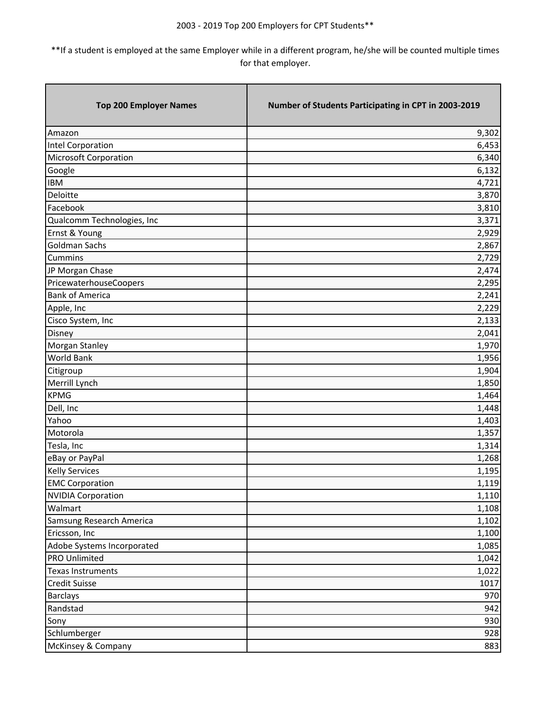| <b>Top 200 Employer Names</b> | Number of Students Participating in CPT in 2003-2019 |
|-------------------------------|------------------------------------------------------|
| Amazon                        | 9,302                                                |
| <b>Intel Corporation</b>      | 6,453                                                |
| <b>Microsoft Corporation</b>  | 6,340                                                |
| Google                        | 6,132                                                |
| <b>IBM</b>                    | 4,721                                                |
| Deloitte                      | 3,870                                                |
| Facebook                      | 3,810                                                |
| Qualcomm Technologies, Inc    | 3,371                                                |
| Ernst & Young                 | 2,929                                                |
| <b>Goldman Sachs</b>          | 2,867                                                |
| Cummins                       | 2,729                                                |
| JP Morgan Chase               | 2,474                                                |
| PricewaterhouseCoopers        | 2,295                                                |
| <b>Bank of America</b>        | 2,241                                                |
| Apple, Inc                    | 2,229                                                |
| Cisco System, Inc             | 2,133                                                |
| Disney                        | 2,041                                                |
| Morgan Stanley                | 1,970                                                |
| World Bank                    | 1,956                                                |
| Citigroup                     | 1,904                                                |
| Merrill Lynch                 | 1,850                                                |
| <b>KPMG</b>                   | 1,464                                                |
| Dell, Inc                     | 1,448                                                |
| Yahoo                         | 1,403                                                |
| Motorola                      | 1,357                                                |
| Tesla, Inc                    | 1,314                                                |
| eBay or PayPal                | 1,268                                                |
| <b>Kelly Services</b>         | 1,195                                                |
| <b>EMC Corporation</b>        | 1,119                                                |
| <b>NVIDIA Corporation</b>     | 1,110                                                |
| Walmart                       | 1,108                                                |
| Samsung Research America      | 1,102                                                |
| Ericsson, Inc                 | 1,100                                                |
| Adobe Systems Incorporated    | 1,085                                                |
| <b>PRO Unlimited</b>          | 1,042                                                |
| <b>Texas Instruments</b>      | 1,022                                                |
| Credit Suisse                 | 1017                                                 |
| <b>Barclays</b>               | 970                                                  |
| Randstad                      | 942                                                  |
| Sony                          | 930                                                  |
| Schlumberger                  | 928                                                  |
| McKinsey & Company            | 883                                                  |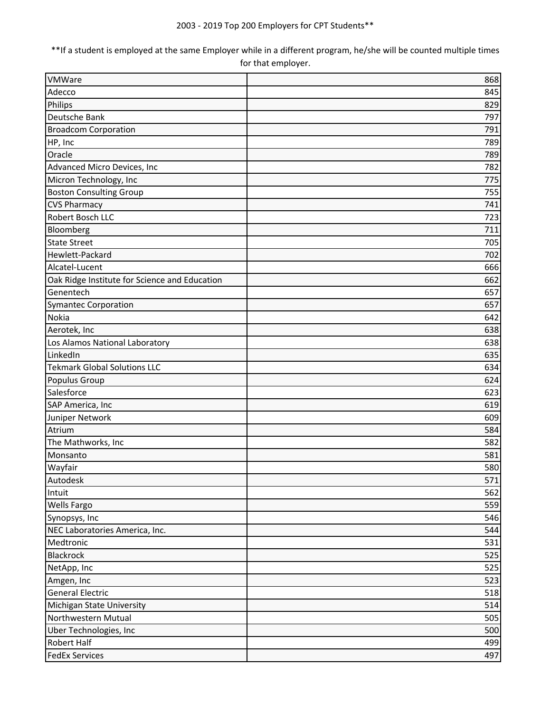| VMWare                                        | 868 |
|-----------------------------------------------|-----|
| Adecco                                        | 845 |
| Philips                                       | 829 |
| Deutsche Bank                                 | 797 |
| <b>Broadcom Corporation</b>                   | 791 |
| HP, Inc                                       | 789 |
| Oracle                                        | 789 |
| Advanced Micro Devices, Inc                   | 782 |
| Micron Technology, Inc                        | 775 |
| <b>Boston Consulting Group</b>                | 755 |
| <b>CVS Pharmacy</b>                           | 741 |
| Robert Bosch LLC                              | 723 |
| Bloomberg                                     | 711 |
| <b>State Street</b>                           | 705 |
| Hewlett-Packard                               | 702 |
| Alcatel-Lucent                                | 666 |
| Oak Ridge Institute for Science and Education | 662 |
| Genentech                                     | 657 |
| <b>Symantec Corporation</b>                   | 657 |
| Nokia                                         | 642 |
| Aerotek, Inc                                  | 638 |
| Los Alamos National Laboratory                | 638 |
| LinkedIn                                      | 635 |
| <b>Tekmark Global Solutions LLC</b>           | 634 |
| Populus Group                                 | 624 |
| Salesforce                                    | 623 |
| SAP America, Inc                              | 619 |
| Juniper Network                               | 609 |
| Atrium                                        | 584 |
| The Mathworks, Inc                            | 582 |
| Monsanto                                      | 581 |
| Wayfair                                       | 580 |
| Autodesk                                      | 571 |
| Intuit                                        | 562 |
| <b>Wells Fargo</b>                            | 559 |
| Synopsys, Inc                                 | 546 |
| NEC Laboratories America, Inc.                | 544 |
| Medtronic                                     | 531 |
| Blackrock                                     | 525 |
| NetApp, Inc                                   | 525 |
| Amgen, Inc                                    | 523 |
| <b>General Electric</b>                       | 518 |
| Michigan State University                     | 514 |
| Northwestern Mutual                           | 505 |
| Uber Technologies, Inc                        | 500 |
| <b>Robert Half</b>                            | 499 |
| <b>FedEx Services</b>                         | 497 |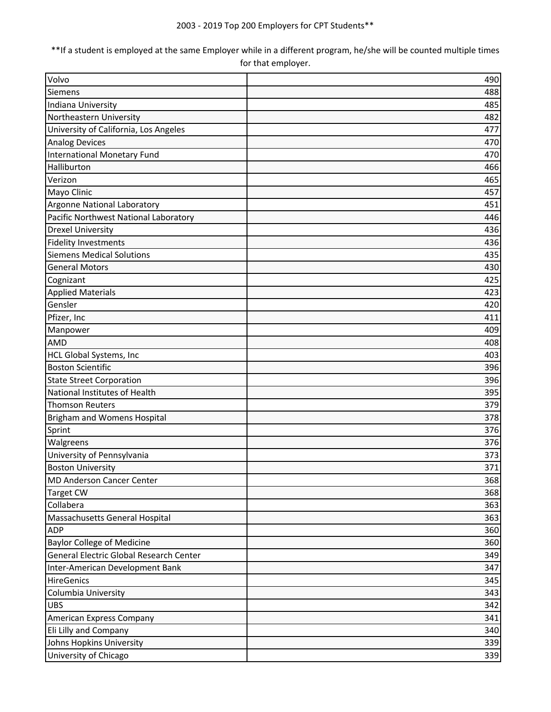| Volvo                                   | 490 |
|-----------------------------------------|-----|
| Siemens                                 | 488 |
| Indiana University                      | 485 |
| Northeastern University                 | 482 |
| University of California, Los Angeles   | 477 |
| <b>Analog Devices</b>                   | 470 |
| <b>International Monetary Fund</b>      | 470 |
| Halliburton                             | 466 |
| Verizon                                 | 465 |
| Mayo Clinic                             | 457 |
| Argonne National Laboratory             | 451 |
| Pacific Northwest National Laboratory   | 446 |
| <b>Drexel University</b>                | 436 |
| <b>Fidelity Investments</b>             | 436 |
| <b>Siemens Medical Solutions</b>        | 435 |
| <b>General Motors</b>                   | 430 |
| Cognizant                               | 425 |
| <b>Applied Materials</b>                | 423 |
| Gensler                                 | 420 |
| Pfizer, Inc                             | 411 |
| Manpower                                | 409 |
| <b>AMD</b>                              | 408 |
| HCL Global Systems, Inc                 | 403 |
| <b>Boston Scientific</b>                | 396 |
| <b>State Street Corporation</b>         | 396 |
| National Institutes of Health           | 395 |
| <b>Thomson Reuters</b>                  | 379 |
| Brigham and Womens Hospital             | 378 |
| Sprint                                  | 376 |
| Walgreens                               | 376 |
| University of Pennsylvania              | 373 |
| <b>Boston University</b>                | 371 |
| <b>MD Anderson Cancer Center</b>        | 368 |
| <b>Target CW</b>                        | 368 |
| Collabera                               | 363 |
| Massachusetts General Hospital          | 363 |
| <b>ADP</b>                              | 360 |
| <b>Baylor College of Medicine</b>       | 360 |
| General Electric Global Research Center | 349 |
| Inter-American Development Bank         | 347 |
| HireGenics                              | 345 |
| Columbia University                     | 343 |
| <b>UBS</b>                              | 342 |
| American Express Company                | 341 |
| Eli Lilly and Company                   | 340 |
| Johns Hopkins University                | 339 |
| University of Chicago                   | 339 |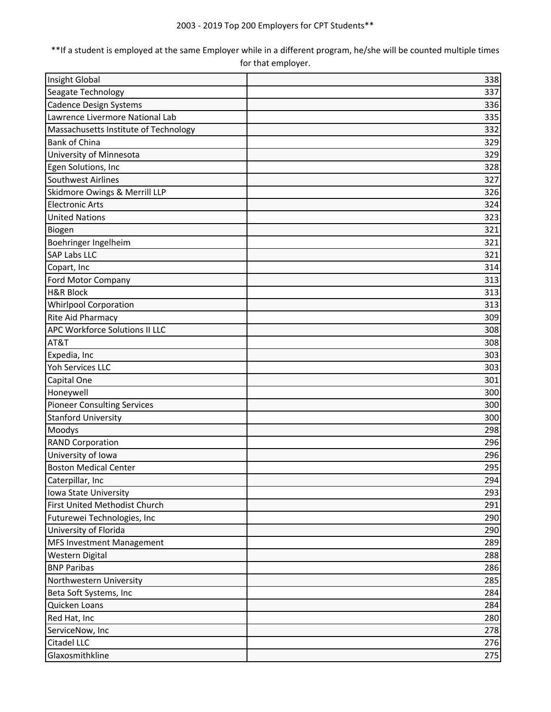| Insight Global                        | 338 |
|---------------------------------------|-----|
| Seagate Technology                    | 337 |
| <b>Cadence Design Systems</b>         | 336 |
| Lawrence Livermore National Lab       | 335 |
| Massachusetts Institute of Technology | 332 |
| <b>Bank of China</b>                  | 329 |
| University of Minnesota               | 329 |
| Egen Solutions, Inc                   | 328 |
| Southwest Airlines                    | 327 |
| Skidmore Owings & Merrill LLP         | 326 |
| <b>Electronic Arts</b>                | 324 |
| <b>United Nations</b>                 | 323 |
| Biogen                                | 321 |
| Boehringer Ingelheim                  | 321 |
| <b>SAP Labs LLC</b>                   | 321 |
| Copart, Inc                           | 314 |
| Ford Motor Company                    | 313 |
| <b>H&amp;R Block</b>                  | 313 |
| <b>Whirlpool Corporation</b>          | 313 |
| Rite Aid Pharmacy                     | 309 |
| APC Workforce Solutions II LLC        | 308 |
| AT&T                                  | 308 |
| Expedia, Inc                          | 303 |
| Yoh Services LLC                      | 303 |
| Capital One                           | 301 |
| Honeywell                             | 300 |
| <b>Pioneer Consulting Services</b>    | 300 |
| <b>Stanford University</b>            | 300 |
| Moodys                                | 298 |
| <b>RAND Corporation</b>               | 296 |
| University of Iowa                    | 296 |
| <b>Boston Medical Center</b>          | 295 |
| Caterpillar, Inc                      | 294 |
| Iowa State University                 | 293 |
| First United Methodist Church         | 291 |
| Futurewei Technologies, Inc           | 290 |
| University of Florida                 | 290 |
| MFS Investment Management             | 289 |
| Western Digital                       | 288 |
| <b>BNP Paribas</b>                    | 286 |
| Northwestern University               | 285 |
| Beta Soft Systems, Inc                | 284 |
| Quicken Loans                         | 284 |
| Red Hat, Inc                          | 280 |
| ServiceNow, Inc                       | 278 |
| Citadel LLC                           | 276 |
| Glaxosmithkline                       | 275 |